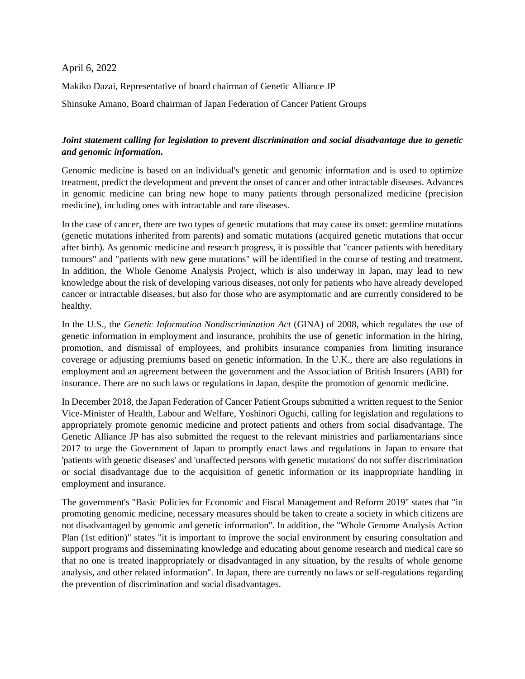## April 6, 2022

Makiko Dazai, Representative of board chairman of Genetic Alliance JP

Shinsuke Amano, Board chairman of Japan Federation of Cancer Patient Groups

## *Joint statement calling for legislation to prevent discrimination and social disadvantage due to genetic and genomic information.*

Genomic medicine is based on an individual's genetic and genomic information and is used to optimize treatment, predict the development and prevent the onset of cancer and other intractable diseases. Advances in genomic medicine can bring new hope to many patients through personalized medicine (precision medicine), including ones with intractable and rare diseases.

In the case of cancer, there are two types of genetic mutations that may cause its onset: germline mutations (genetic mutations inherited from parents) and somatic mutations (acquired genetic mutations that occur after birth). As genomic medicine and research progress, it is possible that "cancer patients with hereditary tumours" and "patients with new gene mutations" will be identified in the course of testing and treatment. In addition, the Whole Genome Analysis Project, which is also underway in Japan, may lead to new knowledge about the risk of developing various diseases, not only for patients who have already developed cancer or intractable diseases, but also for those who are asymptomatic and are currently considered to be healthy.

In the U.S., the *Genetic Information Nondiscrimination Act* (GINA) of 2008, which regulates the use of genetic information in employment and insurance, prohibits the use of genetic information in the hiring, promotion, and dismissal of employees, and prohibits insurance companies from limiting insurance coverage or adjusting premiums based on genetic information. In the U.K., there are also regulations in employment and an agreement between the government and the Association of British Insurers (ABI) for insurance. There are no such laws or regulations in Japan, despite the promotion of genomic medicine.

In December 2018, the Japan Federation of Cancer Patient Groups submitted a written request to the Senior Vice-Minister of Health, Labour and Welfare, Yoshinori Oguchi, calling for legislation and regulations to appropriately promote genomic medicine and protect patients and others from social disadvantage. The Genetic Alliance JP has also submitted the request to the relevant ministries and parliamentarians since 2017 to urge the Government of Japan to promptly enact laws and regulations in Japan to ensure that 'patients with genetic diseases' and 'unaffected persons with genetic mutations' do not suffer discrimination or social disadvantage due to the acquisition of genetic information or its inappropriate handling in employment and insurance.

The government's "Basic Policies for Economic and Fiscal Management and Reform 2019" states that "in promoting genomic medicine, necessary measures should be taken to create a society in which citizens are not disadvantaged by genomic and genetic information". In addition, the "Whole Genome Analysis Action Plan (1st edition)" states "it is important to improve the social environment by ensuring consultation and support programs and disseminating knowledge and educating about genome research and medical care so that no one is treated inappropriately or disadvantaged in any situation, by the results of whole genome analysis, and other related information". In Japan, there are currently no laws or self-regulations regarding the prevention of discrimination and social disadvantages.